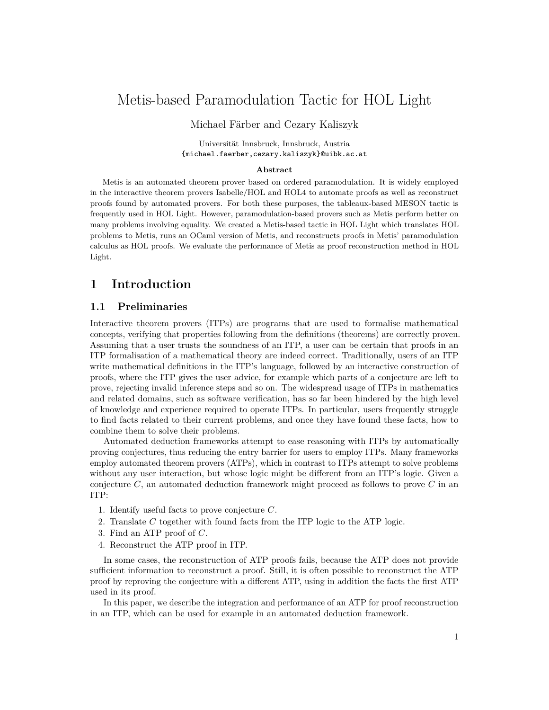# Metis-based Paramodulation Tactic for HOL Light

Michael Färber and Cezary Kaliszyk

Universität Innsbruck, Innsbruck, Austria {michael.faerber,cezary.kaliszyk}@uibk.ac.at

#### **Abstract**

Metis is an automated theorem prover based on ordered paramodulation. It is widely employed in the interactive theorem provers Isabelle/HOL and HOL4 to automate proofs as well as reconstruct proofs found by automated provers. For both these purposes, the tableaux-based MESON tactic is frequently used in HOL Light. However, paramodulation-based provers such as Metis perform better on many problems involving equality. We created a Metis-based tactic in HOL Light which translates HOL problems to Metis, runs an OCaml version of Metis, and reconstructs proofs in Metis' paramodulation calculus as HOL proofs. We evaluate the performance of Metis as proof reconstruction method in HOL Light.

### **1 Introduction**

#### **1.1 Preliminaries**

Interactive theorem provers (ITPs) are programs that are used to formalise mathematical concepts, verifying that properties following from the definitions (theorems) are correctly proven. Assuming that a user trusts the soundness of an ITP, a user can be certain that proofs in an ITP formalisation of a mathematical theory are indeed correct. Traditionally, users of an ITP write mathematical definitions in the ITP's language, followed by an interactive construction of proofs, where the ITP gives the user advice, for example which parts of a conjecture are left to prove, rejecting invalid inference steps and so on. The widespread usage of ITPs in mathematics and related domains, such as software verification, has so far been hindered by the high level of knowledge and experience required to operate ITPs. In particular, users frequently struggle to find facts related to their current problems, and once they have found these facts, how to combine them to solve their problems.

Automated deduction frameworks attempt to ease reasoning with ITPs by automatically proving conjectures, thus reducing the entry barrier for users to employ ITPs. Many frameworks employ automated theorem provers (ATPs), which in contrast to ITPs attempt to solve problems without any user interaction, but whose logic might be different from an ITP's logic. Given a conjecture *C*, an automated deduction framework might proceed as follows to prove *C* in an ITP:

- 1. Identify useful facts to prove conjecture *C*.
- 2. Translate *C* together with found facts from the ITP logic to the ATP logic.
- 3. Find an ATP proof of *C*.
- 4. Reconstruct the ATP proof in ITP.

In some cases, the reconstruction of ATP proofs fails, because the ATP does not provide sufficient information to reconstruct a proof. Still, it is often possible to reconstruct the ATP proof by reproving the conjecture with a different ATP, using in addition the facts the first ATP used in its proof.

In this paper, we describe the integration and performance of an ATP for proof reconstruction in an ITP, which can be used for example in an automated deduction framework.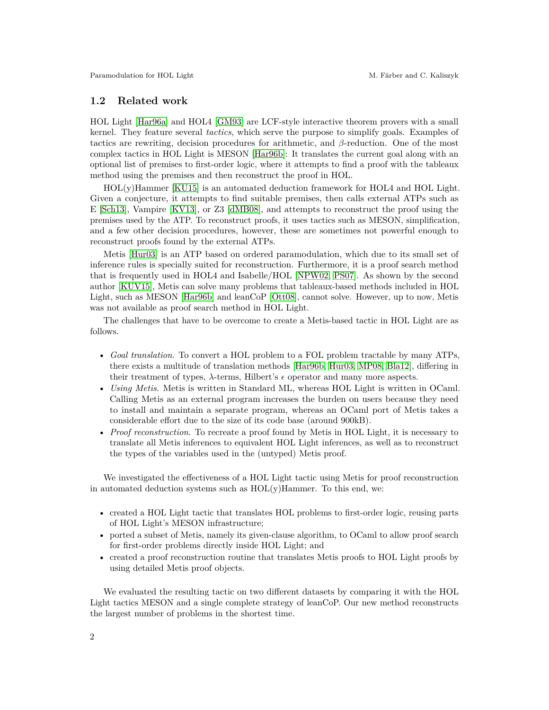#### **1.2 Related work**

HOL Light [\[Har96a\]](#page-8-0) and HOL4 [\[GM93\]](#page-8-1) are LCF-style interactive theorem provers with a small kernel. They feature several *tactics*, which serve the purpose to simplify goals. Examples of tactics are rewriting, decision procedures for arithmetic, and *β*-reduction. One of the most complex tactics in HOL Light is MESON [\[Har96b\]](#page-8-2): It translates the current goal along with an optional list of premises to first-order logic, where it attempts to find a proof with the tableaux method using the premises and then reconstruct the proof in HOL.

HOL(y)Hammer [\[KU15\]](#page-8-3) is an automated deduction framework for HOL4 and HOL Light. Given a conjecture, it attempts to find suitable premises, then calls external ATPs such as E [\[Sch13\]](#page-9-0), Vampire [\[KV13\]](#page-8-4), or Z3 [\[dMB08\]](#page-7-0), and attempts to reconstruct the proof using the premises used by the ATP. To reconstruct proofs, it uses tactics such as MESON, simplification, and a few other decision procedures, however, these are sometimes not powerful enough to reconstruct proofs found by the external ATPs.

Metis [\[Hur03\]](#page-8-5) is an ATP based on ordered paramodulation, which due to its small set of inference rules is specially suited for reconstruction. Furthermore, it is a proof search method that is frequently used in HOL4 and Isabelle/HOL [\[NPW02,](#page-8-6) [PS07\]](#page-9-1). As shown by the second author [\[KUV15\]](#page-8-7), Metis can solve many problems that tableaux-based methods included in HOL Light, such as MESON [\[Har96b\]](#page-8-2) and leanCoP [\[Ott08\]](#page-9-2), cannot solve. However, up to now, Metis was not available as proof search method in HOL Light.

The challenges that have to be overcome to create a Metis-based tactic in HOL Light are as follows.

- *Goal translation*. To convert a HOL problem to a FOL problem tractable by many ATPs, there exists a multitude of translation methods [\[Har96b,](#page-8-2) [Hur03,](#page-8-5) [MP08,](#page-8-8) [Bla12\]](#page-7-1), differing in their treatment of types,  $\lambda$ -terms, Hilbert's  $\epsilon$  operator and many more aspects.
- *Using Metis*. Metis is written in Standard ML, whereas HOL Light is written in OCaml. Calling Metis as an external program increases the burden on users because they need to install and maintain a separate program, whereas an OCaml port of Metis takes a considerable effort due to the size of its code base (around 900kB).
- *Proof reconstruction*. To recreate a proof found by Metis in HOL Light, it is necessary to translate all Metis inferences to equivalent HOL Light inferences, as well as to reconstruct the types of the variables used in the (untyped) Metis proof.

We investigated the effectiveness of a HOL Light tactic using Metis for proof reconstruction in automated deduction systems such as  $HOL(y)$ Hammer. To this end, we:

- created a HOL Light tactic that translates HOL problems to first-order logic, reusing parts of HOL Light's MESON infrastructure;
- ported a subset of Metis, namely its given-clause algorithm, to OCaml to allow proof search for first-order problems directly inside HOL Light; and
- created a proof reconstruction routine that translates Metis proofs to HOL Light proofs by using detailed Metis proof objects.

We evaluated the resulting tactic on two different datasets by comparing it with the HOL Light tactics MESON and a single complete strategy of leanCoP. Our new method reconstructs the largest number of problems in the shortest time.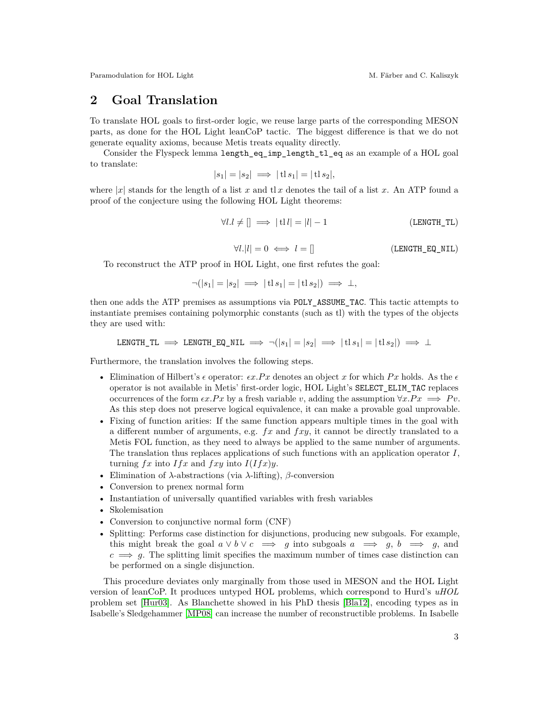# **2 Goal Translation**

To translate HOL goals to first-order logic, we reuse large parts of the corresponding MESON parts, as done for the HOL Light leanCoP tactic. The biggest difference is that we do not generate equality axioms, because Metis treats equality directly.

Consider the Flyspeck lemma length\_eq\_imp\_length\_tl\_eq as an example of a HOL goal to translate:

$$
|s_1| = |s_2| \implies |\text{tl } s_1| = |\text{tl } s_2|,
$$

where  $|x|$  stands for the length of a list x and tlx denotes the tail of a list x. An ATP found a proof of the conjecture using the following HOL Light theorems:

$$
\forall l.l \neq [] \implies |tl| = |l| - 1
$$
 (LENGTH\_TL)

$$
\forall l. |l| = 0 \iff l = [] \tag{LENGTH\_EQ_NIL}
$$

To reconstruct the ATP proof in HOL Light, one first refutes the goal:

$$
\neg(|s_1|=|s_2| \implies |\operatorname{tl} s_1|=|\operatorname{tl} s_2| \implies \bot,
$$

then one adds the ATP premises as assumptions via POLY\_ASSUME\_TAC. This tactic attempts to instantiate premises containing polymorphic constants (such as tl) with the types of the objects they are used with:

$$
\text{LENGTH\_TL} \implies \text{LENGTH\_EQ\_NIL} \implies \neg(|s_1| = |s_2| \implies |\text{tl } s_1| = |\text{tl } s_2|) \implies \bot
$$

Furthermore, the translation involves the following steps.

- Elimination of Hilbert's  $\epsilon$  operator:  $\epsilon x.Px$  denotes an object x for which  $Px$  holds. As the  $\epsilon$ operator is not available in Metis' first-order logic, HOL Light's SELECT\_ELIM\_TAC replaces occurrences of the form  $\epsilon x.Px$  by a fresh variable *v*, adding the assumption  $\forall x.Px \implies Pv$ . As this step does not preserve logical equivalence, it can make a provable goal unprovable.
- Fixing of function arities: If the same function appears multiple times in the goal with a different number of arguments, e.g. *fx* and *fxy*, it cannot be directly translated to a Metis FOL function, as they need to always be applied to the same number of arguments. The translation thus replaces applications of such functions with an application operator *I*, turning  $fx$  into  $If x$  and  $fxy$  into  $I(fx)y$ .
- Elimination of *λ*-abstractions (via *λ*-lifting), *β*-conversion
- Conversion to prenex normal form
- Instantiation of universally quantified variables with fresh variables
- Skolemisation
- Conversion to conjunctive normal form (CNF)
- Splitting: Performs case distinction for disjunctions, producing new subgoals. For example, this might break the goal  $a \vee b \vee c \implies g$  into subgoals  $a \implies g, b \implies g$ , and  $c \implies g$ . The splitting limit specifies the maximum number of times case distinction can be performed on a single disjunction.

This procedure deviates only marginally from those used in MESON and the HOL Light version of leanCoP. It produces untyped HOL problems, which correspond to Hurd's *uHOL* problem set [\[Hur03\]](#page-8-5). As Blanchette showed in his PhD thesis [\[Bla12\]](#page-7-1), encoding types as in Isabelle's Sledgehammer [\[MP08\]](#page-8-8) can increase the number of reconstructible problems. In Isabelle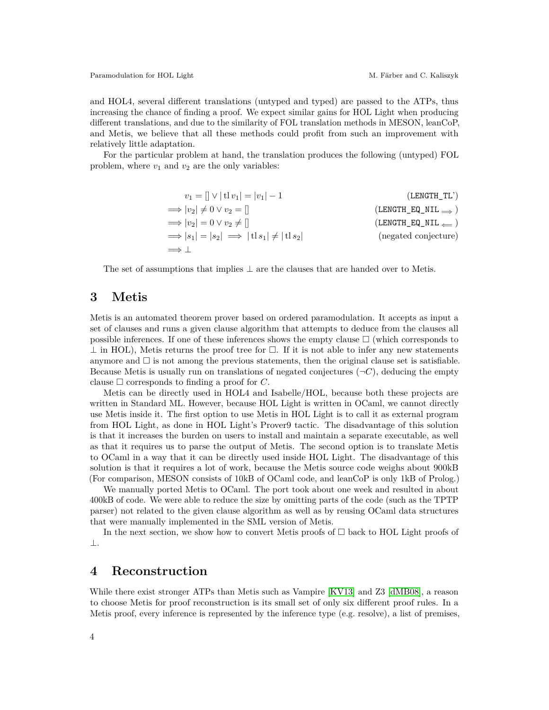and HOL4, several different translations (untyped and typed) are passed to the ATPs, thus increasing the chance of finding a proof. We expect similar gains for HOL Light when producing different translations, and due to the similarity of FOL translation methods in MESON, leanCoP, and Metis, we believe that all these methods could profit from such an improvement with relatively little adaptation.

For the particular problem at hand, the translation produces the following (untyped) FOL problem, where  $v_1$  and  $v_2$  are the only variables:

$$
v_1 = [] \vee |t1v_1| = |v_1| - 1
$$
 (LENGTH\_TL')  
\n
$$
\implies |v_2| \neq 0 \vee v_2 = []
$$
 (LENGTH\_EQ\_NIL $\implies$ )  
\n
$$
\implies |v_2| = 0 \vee v_2 \neq []
$$
 (LENGTH\_EQ\_NIL $\implies$ )  
\n
$$
\implies |s_1| = |s_2| \implies |t1s_1| \neq |t1s_2|
$$
 (negated conjecture)  
\n
$$
\implies \perp
$$

The set of assumptions that implies  $\perp$  are the clauses that are handed over to Metis.

#### **3 Metis**

Metis is an automated theorem prover based on ordered paramodulation. It accepts as input a set of clauses and runs a given clause algorithm that attempts to deduce from the clauses all possible inferences. If one of these inferences shows the empty clause  $\Box$  (which corresponds to  $\perp$  in HOL), Metis returns the proof tree for  $\Box$ . If it is not able to infer any new statements anymore and  $\square$  is not among the previous statements, then the original clause set is satisfiable. Because Metis is usually run on translations of negated conjectures  $(\neg C)$ , deducing the empty clause  $\Box$  corresponds to finding a proof for  $C$ .

Metis can be directly used in HOL4 and Isabelle/HOL, because both these projects are written in Standard ML. However, because HOL Light is written in OCaml, we cannot directly use Metis inside it. The first option to use Metis in HOL Light is to call it as external program from HOL Light, as done in HOL Light's Prover9 tactic. The disadvantage of this solution is that it increases the burden on users to install and maintain a separate executable, as well as that it requires us to parse the output of Metis. The second option is to translate Metis to OCaml in a way that it can be directly used inside HOL Light. The disadvantage of this solution is that it requires a lot of work, because the Metis source code weighs about 900kB (For comparison, MESON consists of 10kB of OCaml code, and leanCoP is only 1kB of Prolog.)

We manually ported Metis to OCaml. The port took about one week and resulted in about 400kB of code. We were able to reduce the size by omitting parts of the code (such as the TPTP parser) not related to the given clause algorithm as well as by reusing OCaml data structures that were manually implemented in the SML version of Metis.

In the next section, we show how to convert Metis proofs of  $\Box$  back to HOL Light proofs of ⊥.

### **4 Reconstruction**

While there exist stronger ATPs than Metis such as Vampire [\[KV13\]](#page-8-4) and Z3 [\[dMB08\]](#page-7-0), a reason to choose Metis for proof reconstruction is its small set of only six different proof rules. In a Metis proof, every inference is represented by the inference type (e.g. resolve), a list of premises,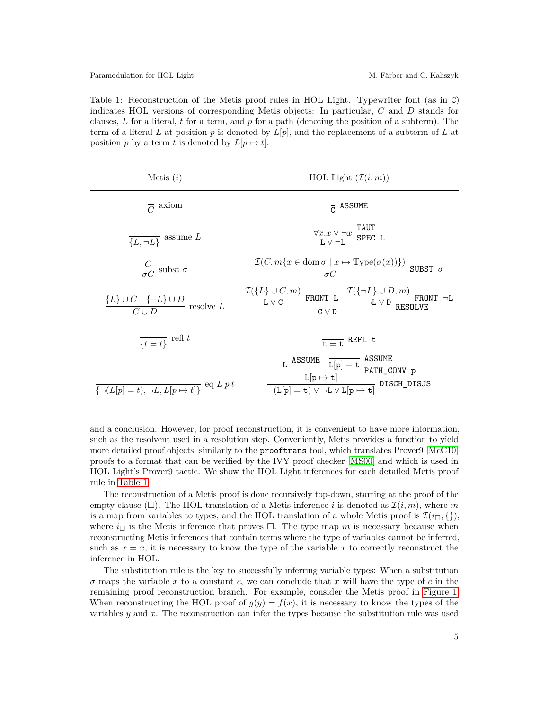<span id="page-4-0"></span>Table 1: Reconstruction of the Metis proof rules in HOL Light. Typewriter font (as in C) indicates HOL versions of corresponding Metis objects: In particular, *C* and *D* stands for clauses, *L* for a literal, *t* for a term, and *p* for a path (denoting the position of a subterm). The term of a literal *L* at position *p* is denoted by *L*[*p*], and the replacement of a subterm of *L* at position *p* by a term *t* is denoted by  $L[p \mapsto t]$ .

| HOL Light $(\mathcal{I}(i,m))$                                                                                                                                                                                                                                                                |
|-----------------------------------------------------------------------------------------------------------------------------------------------------------------------------------------------------------------------------------------------------------------------------------------------|
| $\overline{C}$ ASSUME                                                                                                                                                                                                                                                                         |
| $\frac{\sqrt{x.x}\sqrt{-x}}{L\sqrt{-1}}$ SPEC L                                                                                                                                                                                                                                               |
| $\frac{\mathcal{I}(C, m\{x \in \text{dom }\sigma \mid x \mapsto \text{Type}(\sigma(x))\})}{\sigma C}$ SUBST $\sigma$                                                                                                                                                                          |
| $\frac{\mathcal{I}(\{L\} \cup C, m)}{\underline{\texttt{L} \vee \texttt{C}} \quad \texttt{FRONT}\ \texttt{L}\quad \frac{\mathcal{I}(\{\neg L\} \cup D, m)}{\neg \texttt{L} \vee \texttt{D}}\ \texttt{RESONT}\ \neg \texttt{L}}{\texttt{C} \vee \texttt{D}}$                                   |
| $\overline{t=t}$ REFL t                                                                                                                                                                                                                                                                       |
| $\begin{array}{cc} \begin{array}{c} \overline{L} \,\, \text{ASSUME} & \overline{L[p] = t} \,\, \text{ASSUME} \\ \hline & \text{L[p \mapsto t]} \,\, & \text{PATH\_CONV p} \end{array} \\ \hline \neg(L[p] = t) \vee \neg L \vee L[p \mapsto t] & \text{DISCH\_DISJS} \end{array} \end{array}$ |
|                                                                                                                                                                                                                                                                                               |

and a conclusion. However, for proof reconstruction, it is convenient to have more information, such as the resolvent used in a resolution step. Conveniently, Metis provides a function to yield more detailed proof objects, similarly to the **proof trans** tool, which translates Prover9 [\[McC10\]](#page-8-9) proofs to a format that can be verified by the IVY proof checker [\[MS00\]](#page-8-10) and which is used in HOL Light's Prover9 tactic. We show the HOL Light inferences for each detailed Metis proof rule in [Table 1.](#page-4-0)

The reconstruction of a Metis proof is done recursively top-down, starting at the proof of the empty clause  $(\Box)$ . The HOL translation of a Metis inference *i* is denoted as  $\mathcal{I}(i, m)$ , where m is a map from variables to types, and the HOL translation of a whole Metis proof is  $\mathcal{I}(i_{\Box}, \{\})$ , where  $i_{\Box}$  is the Metis inference that proves  $\Box$ . The type map *m* is necessary because when reconstructing Metis inferences that contain terms where the type of variables cannot be inferred, such as  $x = x$ , it is necessary to know the type of the variable x to correctly reconstruct the inference in HOL.

The substitution rule is the key to successfully inferring variable types: When a substitution *σ* maps the variable *x* to a constant *c*, we can conclude that *x* will have the type of *c* in the remaining proof reconstruction branch. For example, consider the Metis proof in [Figure 1:](#page-5-0) When reconstructing the HOL proof of  $q(y) = f(x)$ , it is necessary to know the types of the variables *y* and *x*. The reconstruction can infer the types because the substitution rule was used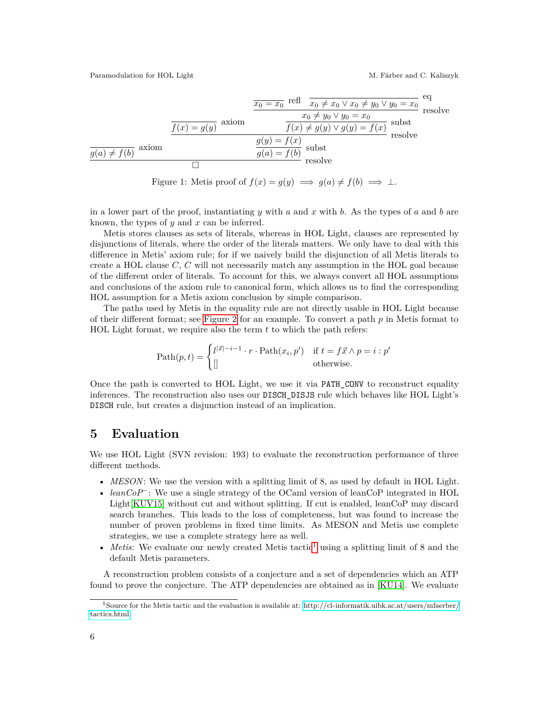<span id="page-5-0"></span>
$$
\frac{\overline{x_0 = x_0} \text{ refl } \overline{x_0 \neq x_0 \lor x_0 \neq y_0 \lor y_0 = x_0} \text{ eq}}{\frac{f(x) = g(y)}{f(x) \neq g(y) \lor g(y) = f(x)}} \text{ resolve}
$$
\n
$$
\frac{g(y) = f(x)}{g(a) = f(b)} \text{ subset}
$$
\n
$$
\frac{g(y) = f(x)}{\text{ resolve}}
$$
\n
$$
\frac{g(x) = f(b)}{\text{ resolve}}
$$
\n
$$
\frac{g(x) = f(b)}{\text{resource}}
$$

Figure 1: Metis proof of  $f(x) = g(y) \implies g(a) \neq f(b) \implies \bot$ .

in a lower part of the proof, instantiating *y* with *a* and *x* with *b*. As the types of *a* and *b* are known, the types of *y* and *x* can be inferred.

Metis stores clauses as sets of literals, whereas in HOL Light, clauses are represented by disjunctions of literals, where the order of the literals matters. We only have to deal with this difference in Metis' axiom rule; for if we naively build the disjunction of all Metis literals to create a HOL clause *C*, *C* will not necessarily match any assumption in the HOL goal because of the different order of literals. To account for this, we always convert all HOL assumptions and conclusions of the axiom rule to canonical form, which allows us to find the corresponding HOL assumption for a Metis axiom conclusion by simple comparison.

The paths used by Metis in the equality rule are not directly usable in HOL Light because of their different format; see [Figure 2](#page-6-0) for an example. To convert a path *p* in Metis format to HOL Light format, we require also the term *t* to which the path refers:

$$
\text{Path}(p, t) = \begin{cases} l^{|\vec{x}| - i - 1} \cdot r \cdot \text{Path}(x_i, p') & \text{if } t = f\vec{x} \land p = i : p' \\ \parallel & \text{otherwise.} \end{cases}
$$

Once the path is converted to HOL Light, we use it via PATH\_CONV to reconstruct equality inferences. The reconstruction also uses our DISCH\_DISJS rule which behaves like HOL Light's DISCH rule, but creates a disjunction instead of an implication.

## **5 Evaluation**

We use HOL Light (SVN revision: 193) to evaluate the reconstruction performance of three different methods.

- *MESON*: We use the version with a splitting limit of 8, as used by default in HOL Light.
- *leanCoP*<sup>−</sup>: We use a single strategy of the OCaml version of leanCoP integrated in HOL Light[\[KUV15\]](#page-8-7) without cut and without splitting. If cut is enabled, leanCoP may discard search branches. This leads to the loss of completeness, but was found to increase the number of proven problems in fixed time limits. As MESON and Metis use complete strategies, we use a complete strategy here as well.
- *Metis*: We evaluate our newly created Metis tactic<sup>[1](#page-5-1)</sup> using a splitting limit of 8 and the default Metis parameters.

A reconstruction problem consists of a conjecture and a set of dependencies which an ATP found to prove the conjecture. The ATP dependencies are obtained as in [\[KU14\]](#page-8-11). We evaluate

<span id="page-5-1"></span><sup>1</sup>Source for the Metis tactic and the evaluation is available at: [http://cl-informatik.uibk.ac.at/users/mfaerber/](http://cl-informatik.uibk.ac.at/users/mfaerber/tactics.html) [tactics.html](http://cl-informatik.uibk.ac.at/users/mfaerber/tactics.html)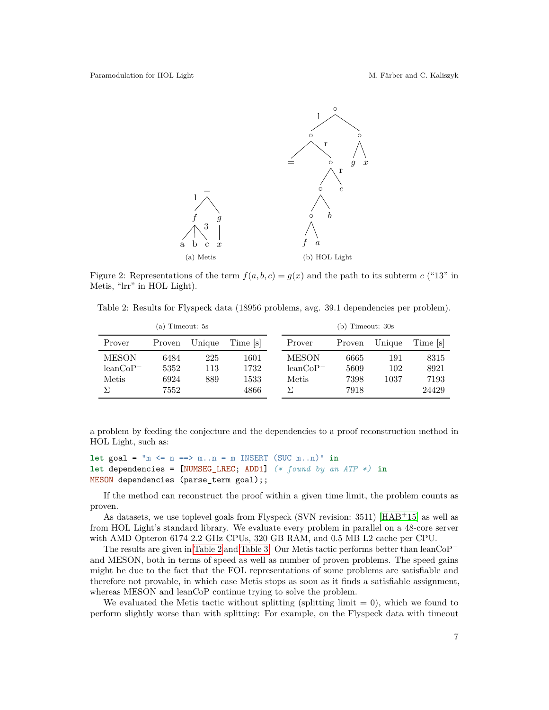<span id="page-6-0"></span>

Figure 2: Representations of the term  $f(a, b, c) = g(x)$  and the path to its subterm *c* ("13" in Metis, "lrr" in HOL Light).

<span id="page-6-1"></span>Table 2: Results for Flyspeck data (18956 problems, avg. 39.1 dependencies per problem).

| (a) Timeout: 5s             |              |            |              | $(b)$ Timeout: $30s$        |              |            |               |
|-----------------------------|--------------|------------|--------------|-----------------------------|--------------|------------|---------------|
| Prover                      | Proven       | Unique     | Time s       | Prover                      | Proven       | Unique     | Time [s]      |
| <b>MESON</b><br>$leanCoP^-$ | 6484<br>5352 | 225<br>113 | 1601<br>1732 | <b>MESON</b><br>$leanCoP^-$ | 6665<br>5609 | 191<br>102 | 8315<br>8921  |
| Metis                       | 6924<br>7552 | 889        | 1533<br>4866 | Metis                       | 7398<br>7918 | 1037       | 7193<br>24429 |

a problem by feeding the conjecture and the dependencies to a proof reconstruction method in HOL Light, such as:

```
let goal = "m \le n == > m..n = m INSERT (SUC m..n)" inlet dependencies = [NUMSEG_LREC; ADD1] (* found by an ATP *) in
MESON dependencies (parse_term goal);;
```
If the method can reconstruct the proof within a given time limit, the problem counts as proven.

As datasets, we use toplevel goals from Flyspeck (SVN revision: 3511) [\[HAB](#page-8-12)<sup>+</sup>15] as well as from HOL Light's standard library. We evaluate every problem in parallel on a 48-core server with AMD Opteron 6174 2.2 GHz CPUs, 320 GB RAM, and 0.5 MB L2 cache per CPU.

The results are given in [Table 2](#page-6-1) and [Table 3:](#page-7-2) Our Metis tactic performs better than leanCoP<sup>−</sup> and MESON, both in terms of speed as well as number of proven problems. The speed gains might be due to the fact that the FOL representations of some problems are satisfiable and therefore not provable, in which case Metis stops as soon as it finds a satisfiable assignment, whereas MESON and leanCoP continue trying to solve the problem.

We evaluated the Metis tactic without splitting (splitting limit  $= 0$ ), which we found to perform slightly worse than with splitting: For example, on the Flyspeck data with timeout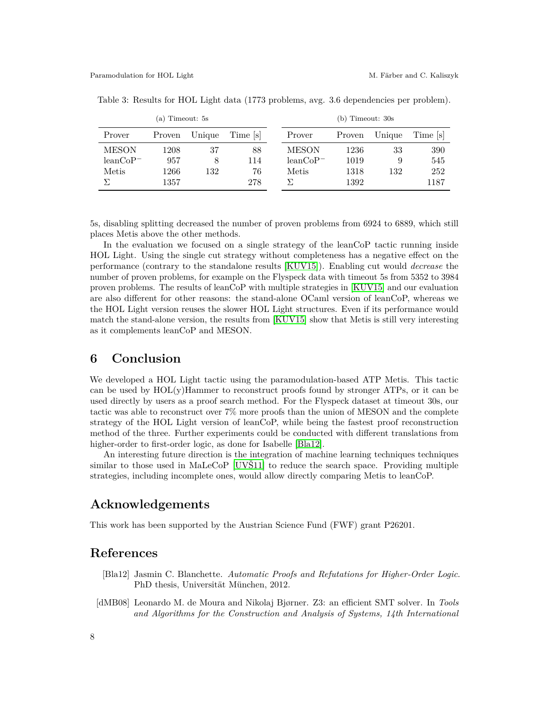| (a) Timeout: 5s |        |        |         |              | $(b)$ Timeout: $30s$ |        |         |
|-----------------|--------|--------|---------|--------------|----------------------|--------|---------|
| Prover          | Proven | Unique | Time  s | Prover       | Proven               | Unique | Time  s |
| <b>MESON</b>    | 1208   | 37     | 88      | <b>MESON</b> | 1236                 | 33     | 390     |
| $leanCoP^-$     | 957    |        | 114     | $leanCoP^-$  | 1019                 | 9      | 545     |
| Metis           | 1266   | 132    | 76      | Metis        | 1318                 | 132    | 252     |
|                 | 1357   |        | 278     |              | 1392                 |        | 1187    |

<span id="page-7-2"></span>Table 3: Results for HOL Light data (1773 problems, avg. 3.6 dependencies per problem).

5s, disabling splitting decreased the number of proven problems from 6924 to 6889, which still places Metis above the other methods.

In the evaluation we focused on a single strategy of the leanCoP tactic running inside HOL Light. Using the single cut strategy without completeness has a negative effect on the performance (contrary to the standalone results [\[KUV15\]](#page-8-7)). Enabling cut would *decrease* the number of proven problems, for example on the Flyspeck data with timeout 5s from 5352 to 3984 proven problems. The results of leanCoP with multiple strategies in [\[KUV15\]](#page-8-7) and our evaluation are also different for other reasons: the stand-alone OCaml version of leanCoP, whereas we the HOL Light version reuses the slower HOL Light structures. Even if its performance would match the stand-alone version, the results from [\[KUV15\]](#page-8-7) show that Metis is still very interesting as it complements leanCoP and MESON.

### **6 Conclusion**

We developed a HOL Light tactic using the paramodulation-based ATP Metis. This tactic can be used by  $HOL(y)$ Hammer to reconstruct proofs found by stronger ATPs, or it can be used directly by users as a proof search method. For the Flyspeck dataset at timeout 30s, our tactic was able to reconstruct over 7% more proofs than the union of MESON and the complete strategy of the HOL Light version of leanCoP, while being the fastest proof reconstruction method of the three. Further experiments could be conducted with different translations from higher-order to first-order logic, as done for Isabelle [\[Bla12\]](#page-7-1).

An interesting future direction is the integration of machine learning techniques techniques similar to those used in MaLeCoP [\[UVŠ11\]](#page-9-3) to reduce the search space. Providing multiple strategies, including incomplete ones, would allow directly comparing Metis to leanCoP.

#### **Acknowledgements**

This work has been supported by the Austrian Science Fund (FWF) grant P26201.

#### **References**

- <span id="page-7-1"></span>[Bla12] Jasmin C. Blanchette. *Automatic Proofs and Refutations for Higher-Order Logic*. PhD thesis, Universität München, 2012.
- <span id="page-7-0"></span>[dMB08] Leonardo M. de Moura and Nikolaj Bjørner. Z3: an efficient SMT solver. In *Tools and Algorithms for the Construction and Analysis of Systems, 14th International*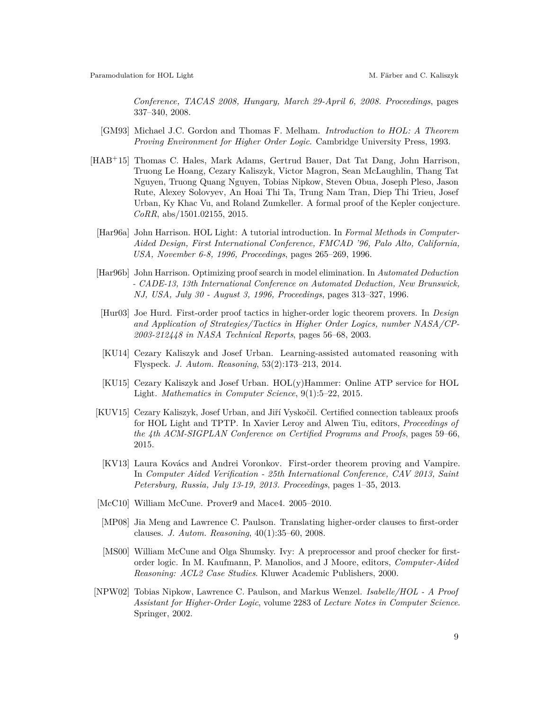*Conference, TACAS 2008, Hungary, March 29-April 6, 2008. Proceedings*, pages 337–340, 2008.

- <span id="page-8-1"></span>[GM93] Michael J.C. Gordon and Thomas F. Melham. *Introduction to HOL: A Theorem Proving Environment for Higher Order Logic*. Cambridge University Press, 1993.
- <span id="page-8-12"></span><span id="page-8-2"></span><span id="page-8-0"></span>[HAB<sup>+</sup>15] Thomas C. Hales, Mark Adams, Gertrud Bauer, Dat Tat Dang, John Harrison, Truong Le Hoang, Cezary Kaliszyk, Victor Magron, Sean McLaughlin, Thang Tat Nguyen, Truong Quang Nguyen, Tobias Nipkow, Steven Obua, Joseph Pleso, Jason Rute, Alexey Solovyev, An Hoai Thi Ta, Trung Nam Tran, Diep Thi Trieu, Josef Urban, Ky Khac Vu, and Roland Zumkeller. A formal proof of the Kepler conjecture. *CoRR*, abs/1501.02155, 2015.
	- [Har96a] John Harrison. HOL Light: A tutorial introduction. In *Formal Methods in Computer-Aided Design, First International Conference, FMCAD '96, Palo Alto, California, USA, November 6-8, 1996, Proceedings*, pages 265–269, 1996.
	- [Har96b] John Harrison. Optimizing proof search in model elimination. In *Automated Deduction - CADE-13, 13th International Conference on Automated Deduction, New Brunswick, NJ, USA, July 30 - August 3, 1996, Proceedings*, pages 313–327, 1996.
	- [Hur03] Joe Hurd. First-order proof tactics in higher-order logic theorem provers. In *Design and Application of Strategies/Tactics in Higher Order Logics, number NASA/CP-2003-212448 in NASA Technical Reports*, pages 56–68, 2003.
	- [KU14] Cezary Kaliszyk and Josef Urban. Learning-assisted automated reasoning with Flyspeck. *J. Autom. Reasoning*, 53(2):173–213, 2014.
	- [KU15] Cezary Kaliszyk and Josef Urban. HOL(y)Hammer: Online ATP service for HOL Light. *Mathematics in Computer Science*, 9(1):5–22, 2015.
- <span id="page-8-11"></span><span id="page-8-7"></span><span id="page-8-5"></span><span id="page-8-3"></span>[KUV15] Cezary Kaliszyk, Josef Urban, and Jiří Vyskočil. Certified connection tableaux proofs for HOL Light and TPTP. In Xavier Leroy and Alwen Tiu, editors, *Proceedings of the 4th ACM-SIGPLAN Conference on Certified Programs and Proofs*, pages 59–66, 2015.
- <span id="page-8-4"></span>[KV13] Laura Kovács and Andrei Voronkov. First-order theorem proving and Vampire. In *Computer Aided Verification - 25th International Conference, CAV 2013, Saint Petersburg, Russia, July 13-19, 2013. Proceedings*, pages 1–35, 2013.
- <span id="page-8-9"></span>[McC10] William McCune. Prover9 and Mace4. 2005–2010.
- <span id="page-8-8"></span>[MP08] Jia Meng and Lawrence C. Paulson. Translating higher-order clauses to first-order clauses. *J. Autom. Reasoning*, 40(1):35–60, 2008.
- <span id="page-8-10"></span>[MS00] William McCune and Olga Shumsky. Ivy: A preprocessor and proof checker for firstorder logic. In M. Kaufmann, P. Manolios, and J Moore, editors, *Computer-Aided Reasoning: ACL2 Case Studies*. Kluwer Academic Publishers, 2000.
- <span id="page-8-6"></span>[NPW02] Tobias Nipkow, Lawrence C. Paulson, and Markus Wenzel. *Isabelle/HOL - A Proof Assistant for Higher-Order Logic*, volume 2283 of *Lecture Notes in Computer Science*. Springer, 2002.